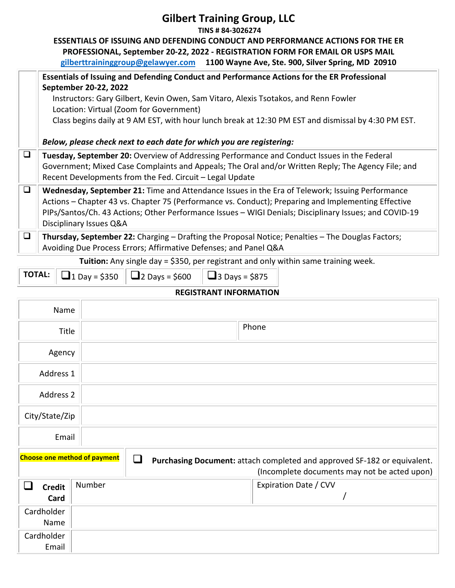|        | <b>Gilbert Training Group, LLC</b><br>TINS # 84-3026274                                                                                                                                                                                                                                                                                     |
|--------|---------------------------------------------------------------------------------------------------------------------------------------------------------------------------------------------------------------------------------------------------------------------------------------------------------------------------------------------|
|        | <b>ESSENTIALS OF ISSUING AND DEFENDING CONDUCT AND PERFORMANCE ACTIONS FOR THE ER</b><br>PROFESSIONAL, September 20-22, 2022 - REGISTRATION FORM FOR EMAIL OR USPS MAIL<br>gilberttraininggroup@gelawyer.com 1100 Wayne Ave, Ste. 900, Silver Spring, MD 20910                                                                              |
|        | Essentials of Issuing and Defending Conduct and Performance Actions for the ER Professional<br>September 20-22, 2022                                                                                                                                                                                                                        |
|        | Instructors: Gary Gilbert, Kevin Owen, Sam Vitaro, Alexis Tsotakos, and Renn Fowler<br>Location: Virtual (Zoom for Government)                                                                                                                                                                                                              |
|        | Class begins daily at 9 AM EST, with hour lunch break at 12:30 PM EST and dismissal by 4:30 PM EST.                                                                                                                                                                                                                                         |
|        | Below, please check next to each date for which you are registering:                                                                                                                                                                                                                                                                        |
| $\Box$ | Tuesday, September 20: Overview of Addressing Performance and Conduct Issues in the Federal<br>Government; Mixed Case Complaints and Appeals; The Oral and/or Written Reply; The Agency File; and<br>Recent Developments from the Fed. Circuit - Legal Update                                                                               |
| $\Box$ | Wednesday, September 21: Time and Attendance Issues in the Era of Telework; Issuing Performance<br>Actions - Chapter 43 vs. Chapter 75 (Performance vs. Conduct); Preparing and Implementing Effective<br>PIPs/Santos/Ch. 43 Actions; Other Performance Issues - WIGI Denials; Disciplinary Issues; and COVID-19<br>Disciplinary Issues Q&A |
| $\Box$ | <b>Thursday, September 22:</b> Charging – Drafting the Proposal Notice; Penalties – The Douglas Factors;<br>Avoiding Due Process Errors; Affirmative Defenses; and Panel Q&A                                                                                                                                                                |
|        |                                                                                                                                                                                                                                                                                                                                             |

**Tuition:** Any single day = \$350, per registrant and only within same training week.

T

 $\boxed{\Box}$ 1 Day = \$350  $\boxed{\Box}$ 2 Days = \$600  $\boxed{\Box}$ 3 Days = \$875

## **REGISTRANT INFORMATION**

| Name                                |        |               |                                                                                                                          |
|-------------------------------------|--------|---------------|--------------------------------------------------------------------------------------------------------------------------|
| Title                               |        |               | Phone                                                                                                                    |
| Agency                              |        |               |                                                                                                                          |
| Address 1                           |        |               |                                                                                                                          |
| Address 2                           |        |               |                                                                                                                          |
| City/State/Zip                      |        |               |                                                                                                                          |
| Email                               |        |               |                                                                                                                          |
| <b>Choose one method of payment</b> |        | $\mathcal{L}$ | Purchasing Document: attach completed and approved SF-182 or equivalent.<br>(Incomplete documents may not be acted upon) |
| <b>Credit</b><br>n d<br>Card        | Number |               | Expiration Date / CVV                                                                                                    |
| Cardholder<br>Name                  |        |               |                                                                                                                          |
| Cardholder<br>Email                 |        |               |                                                                                                                          |